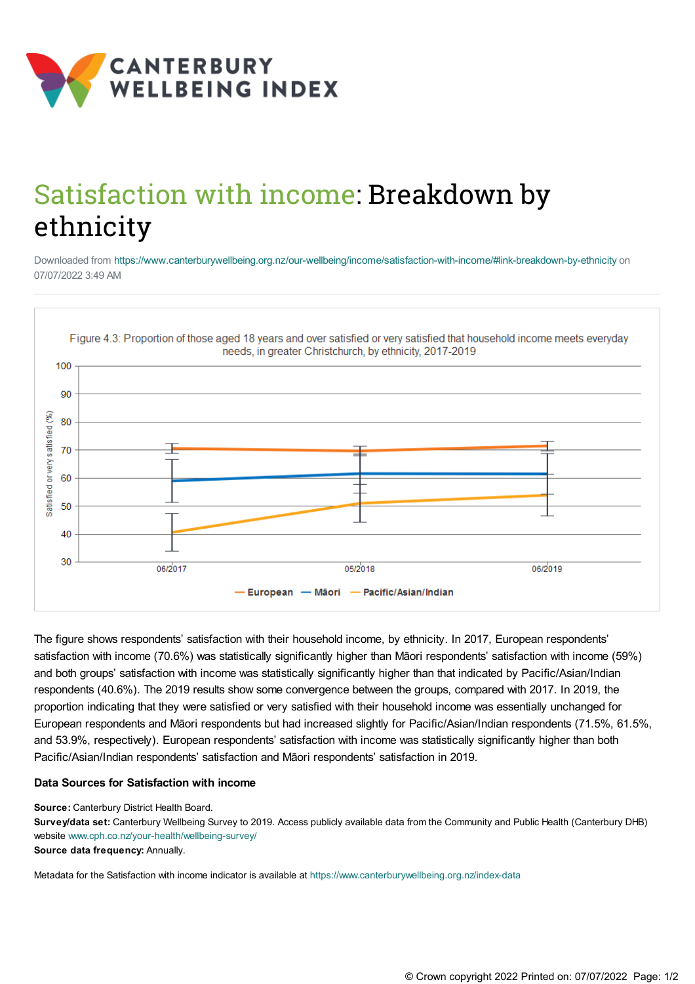

## Satisfaction with income: Breakdown by ethnicity

Downloaded from <https://www.canterburywellbeing.org.nz/our-wellbeing/income/satisfaction-with-income/#link-breakdown-by-ethnicity> on 07/07/2022 3:49 AM



The figure shows respondents' satisfaction with their household income, by ethnicity. In 2017, European respondents' satisfaction with income (70.6%) was statistically significantly higher than Māori respondents' satisfaction with income (59%) and both groups' satisfaction with income was statistically significantly higher than that indicated by Pacific/Asian/Indian respondents (40.6%). The 2019 results show some convergence between the groups, compared with 2017. In 2019, the proportion indicating that they were satisfied or very satisfied with their household income was essentially unchanged for European respondents and Māori respondents but had increased slightly for Pacific/Asian/Indian respondents (71.5%, 61.5%, and 53.9%, respectively). European respondents' satisfaction with income was statistically significantly higher than both Pacific/Asian/Indian respondents' satisfaction and Māori respondents' satisfaction in 2019.

## **Data Sources for Satisfaction with income**

**Source:** Canterbury District Health Board.

**Survey/data set:** Canterbury Wellbeing Survey to 2019. Access publicly available data from the Community and Public Health (Canterbury DHB) website [www.cph.co.nz/your-health/wellbeing-survey/](https://www.cph.co.nz/your-health/wellbeing-survey/) **Source data frequency:** Annually.

Metadata for the Satisfaction with income indicator is available at [https://www.canterburywellbeing.org.nz/index-data](https://www.canterburywellbeing.org.nz/site-information/index-data)